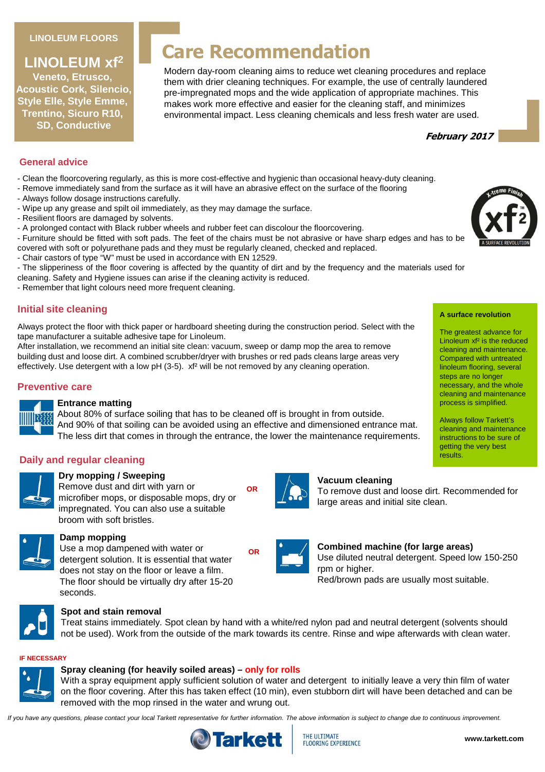#### **LINOLEUM FLOORS**

# **LINOLEUM xf<sup>2</sup>**

**Veneto, Etrusco, Acoustic Cork, Silencio, Style Elle, Style Emme, Trentino, Sicuro R10, SD, Conductive**

# **Care Recommendation**

Modern day-room cleaning aims to reduce wet cleaning procedures and replace them with drier cleaning techniques. For example, the use of centrally laundered pre-impregnated mops and the wide application of appropriate machines. This makes work more effective and easier for the cleaning staff, and minimizes environmental impact. Less cleaning chemicals and less fresh water are used.



#### **General advice**

- Clean the floorcovering regularly, as this is more cost-effective and hygienic than occasional heavy-duty cleaning.
- Remove immediately sand from the surface as it will have an abrasive effect on the surface of the flooring
- Always follow dosage instructions carefully.
- Wipe up any grease and spilt oil immediately, as they may damage the surface.
- Resilient floors are damaged by solvents.
- A prolonged contact with Black rubber wheels and rubber feet can discolour the floorcovering.
- Furniture should be fitted with soft pads. The feet of the chairs must be not abrasive or have sharp edges and has to be covered with soft or polyurethane pads and they must be regularly cleaned, checked and replaced.
- Chair castors of type "W" must be used in accordance with EN 12529.
- The slipperiness of the floor covering is affected by the quantity of dirt and by the frequency and the materials used for
- cleaning. Safety and Hygiene issues can arise if the cleaning activity is reduced.
- Remember that light colours need more frequent cleaning.

### **Initial site cleaning**

Always protect the floor with thick paper or hardboard sheeting during the construction period. Select with the tape manufacturer a suitable adhesive tape for Linoleum.

After installation, we recommend an initial site clean: vacuum, sweep or damp mop the area to remove building dust and loose dirt. A combined scrubber/dryer with brushes or red pads cleans large areas very effectively. Use detergent with a low pH (3-5). xf<sup>2</sup> will be not removed by any cleaning operation.

#### **Preventive care**



#### **Entrance matting**

About 80% of surface soiling that has to be cleaned off is brought in from outside. And 90% of that soiling can be avoided using an effective and dimensioned entrance mat. The less dirt that comes in through the entrance, the lower the maintenance requirements.

**OR**

#### **Daily and regular cleaning**



# **Dry mopping / Sweeping**

Remove dust and dirt with yarn or microfiber mops, or disposable mops, dry or impregnated. You can also use a suitable broom with soft bristles.



### **Damp mopping**

Use a mop dampened with water or detergent solution. It is essential that water does not stay on the floor or leave a film. The floor should be virtually dry after 15-20 seconds.



#### **Spot and stain removal**

Treat stains immediately. Spot clean by hand with a white/red nylon pad and neutral detergent (solvents should not be used). Work from the outside of the mark towards its centre. Rinse and wipe afterwards with clean water.

#### **IF NECESSARY**



#### **Spray cleaning (for heavily soiled areas) – only for rolls**

With a spray equipment apply sufficient solution of water and detergent to initially leave a very thin film of water on the floor covering. After this has taken effect (10 min), even stubborn dirt will have been detached and can be removed with the mop rinsed in the water and wrung out.

If you have any questions, please contact your local Tarkett representative for further information. The above information is subject to change due to continuous improvement.



**Vacuum cleaning**

large areas and initial site clean.



**A surface revolution**

The greatest advance for Linoleum xf² is the reduced cleaning and maintenance. Compared with untreated linoleum flooring, several steps are no longer necessary, and the whole cleaning and maintenance process is simplified.

Always follow Tarkett's cleaning and maintenance instructions to be sure of getting the very best results.





**Combined machine (for large areas)** Use diluted neutral detergent. Speed low 150-250 rpm or higher. Red/brown pads are usually most suitable.

To remove dust and loose dirt. Recommended for